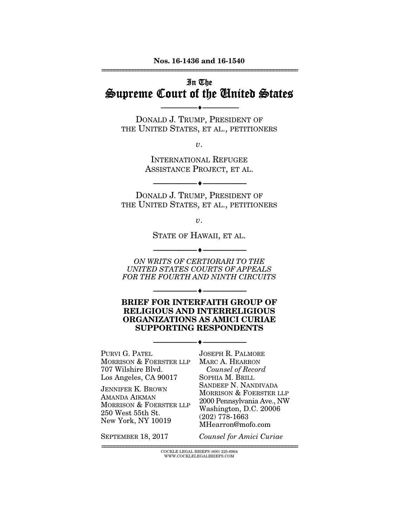#### Nos. 16-1436 and 16-1540 ================================================================

# In The Supreme Court of the United States

DONALD J. TRUMP, PRESIDENT OF THE UNITED STATES, ET AL., PETITIONERS

--------------------------------- ---------------------------------

*v*.

INTERNATIONAL REFUGEE ASSISTANCE PROJECT, ET AL.

DONALD J. TRUMP, PRESIDENT OF THE UNITED STATES, ET AL., PETITIONERS

--------------------------------- ---------------------------------

*v*.

STATE OF HAWAII, ET AL.

--------------------------------- ---------------------------------

*ON WRITS OF CERTIORARI TO THE UNITED STATES COURTS OF APPEALS FOR THE FOURTH AND NINTH CIRCUITS* 

BRIEF FOR INTERFAITH GROUP OF RELIGIOUS AND INTERRELIGIOUS ORGANIZATIONS AS AMICI CURIAE SUPPORTING RESPONDENTS

--------------------------------- ---------------------------------

--------------------------------- ---------------------------------

PURVI G. PATEL MORRISON & FOERSTER LLP 707 Wilshire Blvd. Los Angeles, CA 90017

JENNIFER K. BROWN AMANDA AIKMAN MORRISON & FOERSTER LLP 250 West 55th St. New York, NY 10019

JOSEPH R. PALMORE MARC A. HEARRON *Counsel of Record*  SOPHIA M. BRILL SANDEEP N. NANDIVADA MORRISON & FOERSTER LLP 2000 Pennsylvania Ave., NW Washington, D.C. 20006 (202) 778-1663 MHearron@mofo.com

SEPTEMBER 18, 2017

*Counsel for Amici Curiae*

 ${\rm COCKLE}$ LEGAL BRIEFS (800) 225-6964 WWW.COCKLELEGALBRIEFS.COM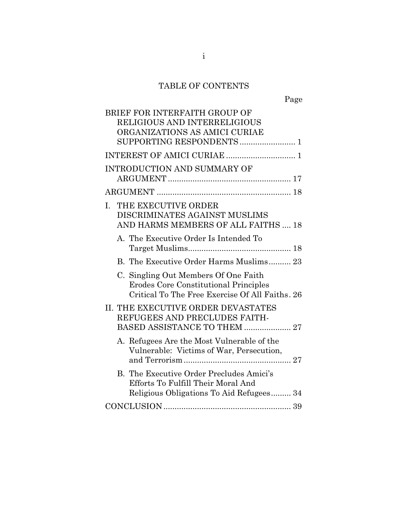# TABLE OF CONTENTS

| BRIEF FOR INTERFAITH GROUP OF<br>RELIGIOUS AND INTERRELIGIOUS<br>ORGANIZATIONS AS AMICI CURIAE                                    |
|-----------------------------------------------------------------------------------------------------------------------------------|
| SUPPORTING RESPONDENTS 1                                                                                                          |
|                                                                                                                                   |
| <b>INTRODUCTION AND SUMMARY OF</b>                                                                                                |
|                                                                                                                                   |
| THE EXECUTIVE ORDER<br>L.<br>DISCRIMINATES AGAINST MUSLIMS<br>AND HARMS MEMBERS OF ALL FAITHS  18                                 |
| A. The Executive Order Is Intended To                                                                                             |
| B. The Executive Order Harms Muslims 23                                                                                           |
| C. Singling Out Members Of One Faith<br>Erodes Core Constitutional Principles<br>Critical To The Free Exercise Of All Faiths. 26  |
| II. THE EXECUTIVE ORDER DEVASTATES<br>REFUGEES AND PRECLUDES FAITH-<br>BASED ASSISTANCE TO THEM  27                               |
| A. Refugees Are the Most Vulnerable of the<br>Vulnerable: Victims of War, Persecution,                                            |
| <b>B.</b> The Executive Order Precludes Amici's<br>Efforts To Fulfill Their Moral And<br>Religious Obligations To Aid Refugees 34 |
|                                                                                                                                   |
|                                                                                                                                   |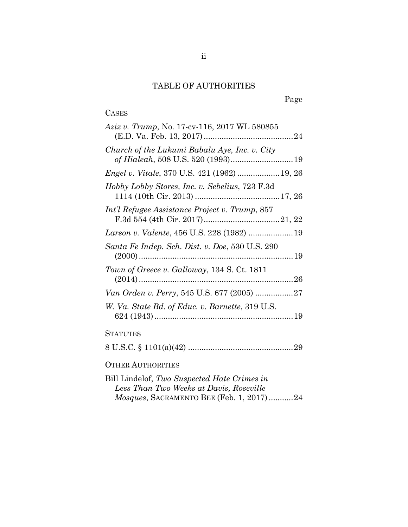# TABLE OF AUTHORITIES

## CASES

| <i>Aziz v. Trump, No.</i> 17-cv-116, 2017 WL 580855 |
|-----------------------------------------------------|
| Church of the Lukumi Babalu Aye, Inc. v. City       |
| Engel v. Vitale, 370 U.S. 421 (1962)  19, 26        |
| Hobby Lobby Stores, Inc. v. Sebelius, 723 F.3d      |
| Int'l Refugee Assistance Project v. Trump, 857      |
|                                                     |
| Santa Fe Indep. Sch. Dist. v. Doe, 530 U.S. 290     |
| Town of Greece v. Galloway, 134 S. Ct. 1811         |
|                                                     |
| W. Va. State Bd. of Educ. v. Barnette, 319 U.S.     |
| <b>STATUTES</b>                                     |
|                                                     |
| <b>OTHER AUTHORITIES</b>                            |

Bill Lindelof, *Two Suspected Hate Crimes in Less Than Two Weeks at Davis, Roseville Mosques*, SACRAMENTO BEE (Feb. 1, 2017) ........... 24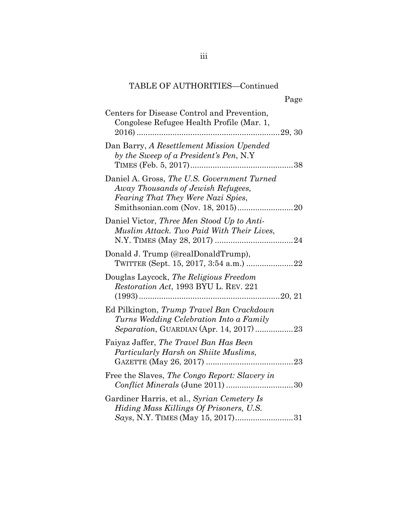| Page                                                                                                                        |
|-----------------------------------------------------------------------------------------------------------------------------|
| Centers for Disease Control and Prevention,<br>Congolese Refugee Health Profile (Mar. 1,                                    |
| Dan Barry, A Resettlement Mission Upended<br>by the Sweep of a President's Pen, N.Y                                         |
| Daniel A. Gross, The U.S. Government Turned<br>Away Thousands of Jewish Refugees,<br>Fearing That They Were Nazi Spies,     |
| Daniel Victor, Three Men Stood Up to Anti-<br>Muslim Attack. Two Paid With Their Lives,                                     |
| Donald J. Trump (@realDonaldTrump),                                                                                         |
| Douglas Laycock, The Religious Freedom<br>Restoration Act, 1993 BYU L. REV. 221                                             |
| Ed Pilkington, Trump Travel Ban Crackdown<br>Turns Wedding Celebration Into a Family                                        |
| Faiyaz Jaffer, The Travel Ban Has Been<br>Particularly Harsh on Shiite Muslims,<br>23                                       |
| Free the Slaves, The Congo Report: Slavery in                                                                               |
| Gardiner Harris, et al., Syrian Cemetery Is<br>Hiding Mass Killings Of Prisoners, U.S.<br>Says, N.Y. TIMES (May 15, 2017)31 |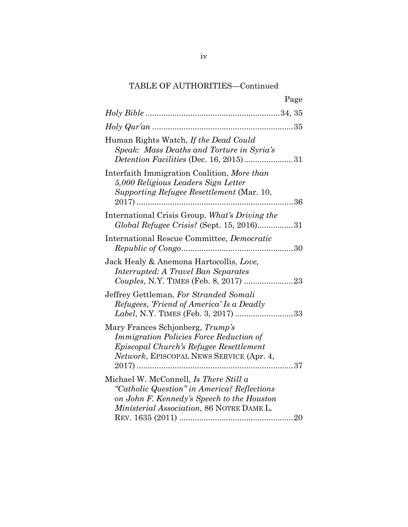| Page                                                                                                                                                                             |
|----------------------------------------------------------------------------------------------------------------------------------------------------------------------------------|
|                                                                                                                                                                                  |
|                                                                                                                                                                                  |
| Human Rights Watch, If the Dead Could<br>Speak: Mass Deaths and Torture in Syria's<br>Detention Facilities (Dec. 16, 2015)31                                                     |
| Interfaith Immigration Coalition, More than<br>5,000 Religious Leaders Sign Letter<br>Supporting Refugee Resettlement (Mar. 10,<br>. 36<br>.                                     |
| International Crisis Group, What's Driving the<br>Global Refugee Crisis? (Sept. 15, 2016)31                                                                                      |
| International Rescue Committee, Democratic                                                                                                                                       |
| Jack Healy & Anemona Hartocollis, Love,<br>Interrupted: A Travel Ban Separates                                                                                                   |
| Jeffrey Gettleman, For Stranded Somali<br>Refugees, 'Friend of America' Is a Deadly<br>Label, N.Y. TIMES (Feb. 3, 2017) 33                                                       |
| Mary Frances Schjonberg, Trump's<br>Immigration Policies Force Reduction of<br>Episcopal Church's Refugee Resettlement<br>Network, EPISCOPAL NEWS SERVICE (Apr. 4,               |
| Michael W. McConnell, Is There Still a<br>"Catholic Question" in America? Reflections<br>on John F. Kennedy's Speech to the Houston<br>Ministerial Association, 86 NOTRE DAME L. |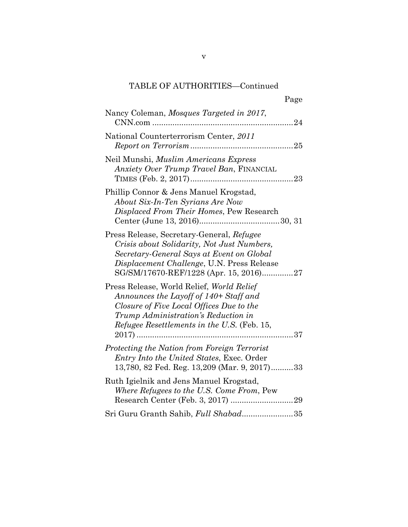| Page                                                                                                                                                                                                                         |
|------------------------------------------------------------------------------------------------------------------------------------------------------------------------------------------------------------------------------|
| Nancy Coleman, Mosques Targeted in 2017,<br>CNN.com                                                                                                                                                                          |
| National Counterterrorism Center, 2011                                                                                                                                                                                       |
| Neil Munshi, Muslim Americans Express<br>Anxiety Over Trump Travel Ban, FINANCIAL                                                                                                                                            |
| Phillip Connor & Jens Manuel Krogstad,<br>About Six-In-Ten Syrians Are Now<br>Displaced From Their Homes, Pew Research                                                                                                       |
| Press Release, Secretary-General, Refugee<br>Crisis about Solidarity, Not Just Numbers,<br>Secretary-General Says at Event on Global<br>Displacement Challenge, U.N. Press Release<br>SG/SM/17670-REF/1228 (Apr. 15, 2016)27 |
| Press Release, World Relief, World Relief<br>Announces the Layoff of 140+ Staff and<br>Closure of Five Local Offices Due to the<br>Trump Administration's Reduction in<br>Refugee Resettlements in the U.S. (Feb. 15,        |
| Protecting the Nation from Foreign Terrorist<br>Entry Into the United States, Exec. Order<br>13,780, 82 Fed. Reg. 13,209 (Mar. 9, 2017)33                                                                                    |
| Ruth Igielnik and Jens Manuel Krogstad,<br>Where Refugees to the U.S. Come From, Pew                                                                                                                                         |
| Sri Guru Granth Sahib, Full Shabad35                                                                                                                                                                                         |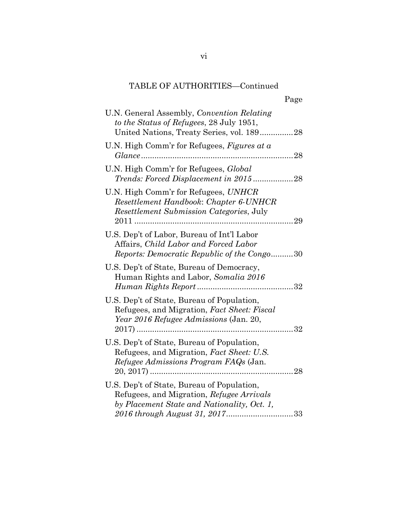|                                                                                                                                        | Page |
|----------------------------------------------------------------------------------------------------------------------------------------|------|
| U.N. General Assembly, Convention Relating<br>to the Status of Refugees, 28 July 1951,<br>United Nations, Treaty Series, vol. 18928    |      |
| U.N. High Comm'r for Refugees, Figures at $a$                                                                                          |      |
| U.N. High Comm'r for Refugees, <i>Global</i><br>Trends: Forced Displacement in 201528                                                  |      |
| U.N. High Comm'r for Refugees, UNHCR<br>Resettlement Handbook: Chapter 6-UNHCR<br>Resettlement Submission Categories, July             |      |
|                                                                                                                                        |      |
| U.S. Dep't of Labor, Bureau of Int'l Labor<br>Affairs, Child Labor and Forced Labor<br>Reports: Democratic Republic of the Congo30     |      |
| U.S. Dep't of State, Bureau of Democracy,<br>Human Rights and Labor, Somalia 2016                                                      |      |
| U.S. Dep't of State, Bureau of Population,<br>Refugees, and Migration, Fact Sheet: Fiscal<br>Year 2016 Refugee Admissions (Jan. 20,    |      |
| U.S. Dep't of State, Bureau of Population,<br>Refugees, and Migration, Fact Sheet: U.S.<br>Refugee Admissions Program FAQs (Jan.       |      |
| U.S. Dep't of State, Bureau of Population,<br>Refugees, and Migration, Refugee Arrivals<br>by Placement State and Nationality, Oct. 1, |      |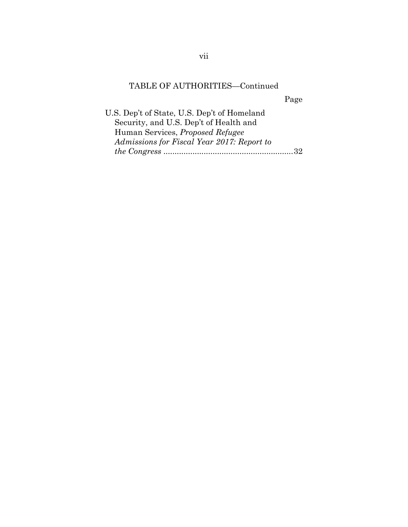Page

U.S. Dep't of State, U.S. Dep't of Homeland Security, and U.S. Dep't of Health and Human Services, *Proposed Refugee Admissions for Fiscal Year 2017: Report to the Congress* .......................................................... 32

vii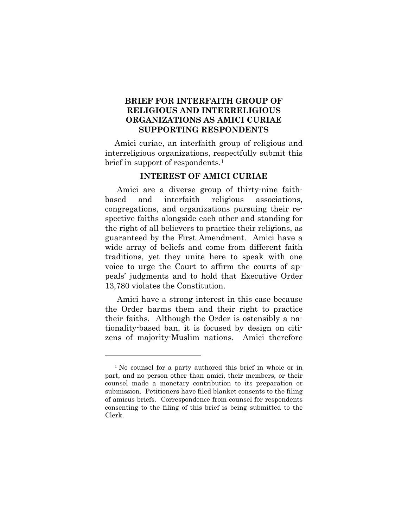## **BRIEF FOR INTERFAITH GROUP OF RELIGIOUS AND INTERRELIGIOUS ORGANIZATIONS AS AMICI CURIAE SUPPORTING RESPONDENTS**

Amici curiae, an interfaith group of religious and interreligious organizations, respectfully submit this brief in support of respondents.<sup>1</sup>

#### **INTEREST OF AMICI CURIAE**

Amici are a diverse group of thirty-nine faithbased and interfaith religious associations, congregations, and organizations pursuing their respective faiths alongside each other and standing for the right of all believers to practice their religions, as guaranteed by the First Amendment. Amici have a wide array of beliefs and come from different faith traditions, yet they unite here to speak with one voice to urge the Court to affirm the courts of appeals' judgments and to hold that Executive Order 13,780 violates the Constitution.

Amici have a strong interest in this case because the Order harms them and their right to practice their faiths. Although the Order is ostensibly a nationality-based ban, it is focused by design on citizens of majority-Muslim nations. Amici therefore

<sup>1</sup> No counsel for a party authored this brief in whole or in part, and no person other than amici, their members, or their counsel made a monetary contribution to its preparation or submission. Petitioners have filed blanket consents to the filing of amicus briefs. Correspondence from counsel for respondents consenting to the filing of this brief is being submitted to the Clerk.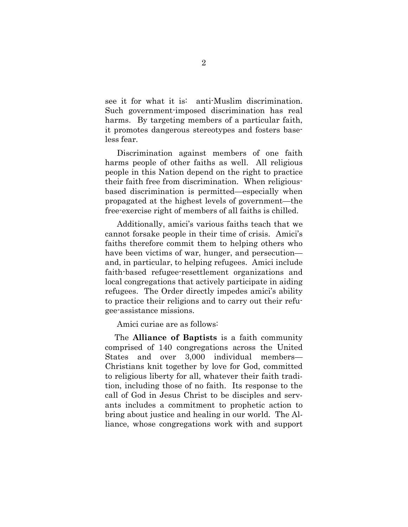see it for what it is: anti-Muslim discrimination. Such government-imposed discrimination has real harms. By targeting members of a particular faith, it promotes dangerous stereotypes and fosters baseless fear.

Discrimination against members of one faith harms people of other faiths as well. All religious people in this Nation depend on the right to practice their faith free from discrimination. When religiousbased discrimination is permitted—especially when propagated at the highest levels of government—the free-exercise right of members of all faiths is chilled.

Additionally, amici's various faiths teach that we cannot forsake people in their time of crisis. Amici's faiths therefore commit them to helping others who have been victims of war, hunger, and persecution and, in particular, to helping refugees. Amici include faith-based refugee-resettlement organizations and local congregations that actively participate in aiding refugees. The Order directly impedes amici's ability to practice their religions and to carry out their refugee-assistance missions.

Amici curiae are as follows:

The **Alliance of Baptists** is a faith community comprised of 140 congregations across the United States and over 3,000 individual members— Christians knit together by love for God, committed to religious liberty for all, whatever their faith tradition, including those of no faith. Its response to the call of God in Jesus Christ to be disciples and servants includes a commitment to prophetic action to bring about justice and healing in our world. The Alliance, whose congregations work with and support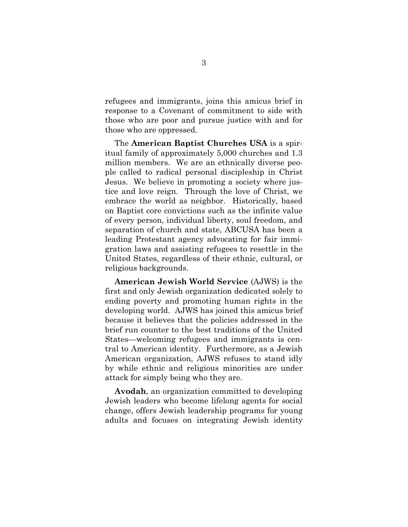refugees and immigrants, joins this amicus brief in response to a Covenant of commitment to side with those who are poor and pursue justice with and for those who are oppressed.

The **American Baptist Churches USA** is a spiritual family of approximately 5,000 churches and 1.3 million members. We are an ethnically diverse people called to radical personal discipleship in Christ Jesus. We believe in promoting a society where justice and love reign. Through the love of Christ, we embrace the world as neighbor. Historically, based on Baptist core convictions such as the infinite value of every person, individual liberty, soul freedom, and separation of church and state, ABCUSA has been a leading Protestant agency advocating for fair immigration laws and assisting refugees to resettle in the United States, regardless of their ethnic, cultural, or religious backgrounds.

**American Jewish World Service** (AJWS) is the first and only Jewish organization dedicated solely to ending poverty and promoting human rights in the developing world. AJWS has joined this amicus brief because it believes that the policies addressed in the brief run counter to the best traditions of the United States—welcoming refugees and immigrants is central to American identity. Furthermore, as a Jewish American organization, AJWS refuses to stand idly by while ethnic and religious minorities are under attack for simply being who they are.

**Avodah**, an organization committed to developing Jewish leaders who become lifelong agents for social change, offers Jewish leadership programs for young adults and focuses on integrating Jewish identity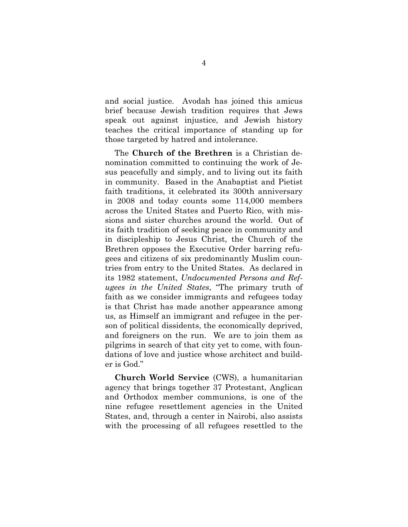and social justice. Avodah has joined this amicus brief because Jewish tradition requires that Jews speak out against injustice, and Jewish history teaches the critical importance of standing up for those targeted by hatred and intolerance.

The **Church of the Brethren** is a Christian denomination committed to continuing the work of Jesus peacefully and simply, and to living out its faith in community. Based in the Anabaptist and Pietist faith traditions, it celebrated its 300th anniversary in 2008 and today counts some 114,000 members across the United States and Puerto Rico, with missions and sister churches around the world. Out of its faith tradition of seeking peace in community and in discipleship to Jesus Christ, the Church of the Brethren opposes the Executive Order barring refugees and citizens of six predominantly Muslim countries from entry to the United States. As declared in its 1982 statement, *Undocumented Persons and Refugees in the United States*, "The primary truth of faith as we consider immigrants and refugees today is that Christ has made another appearance among us, as Himself an immigrant and refugee in the person of political dissidents, the economically deprived, and foreigners on the run. We are to join them as pilgrims in search of that city yet to come, with foundations of love and justice whose architect and builder is God."

**Church World Service** (CWS), a humanitarian agency that brings together 37 Protestant, Anglican and Orthodox member communions, is one of the nine refugee resettlement agencies in the United States, and, through a center in Nairobi, also assists with the processing of all refugees resettled to the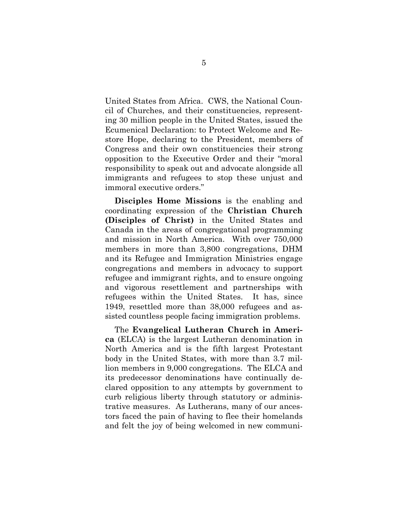United States from Africa. CWS, the National Council of Churches, and their constituencies, representing 30 million people in the United States, issued the Ecumenical Declaration: to Protect Welcome and Restore Hope, declaring to the President, members of Congress and their own constituencies their strong opposition to the Executive Order and their "moral responsibility to speak out and advocate alongside all immigrants and refugees to stop these unjust and immoral executive orders."

**Disciples Home Missions** is the enabling and coordinating expression of the **Christian Church (Disciples of Christ)** in the United States and Canada in the areas of congregational programming and mission in North America. With over 750,000 members in more than 3,800 congregations, DHM and its Refugee and Immigration Ministries engage congregations and members in advocacy to support refugee and immigrant rights, and to ensure ongoing and vigorous resettlement and partnerships with refugees within the United States. It has, since 1949, resettled more than 38,000 refugees and assisted countless people facing immigration problems.

The **Evangelical Lutheran Church in America** (ELCA) is the largest Lutheran denomination in North America and is the fifth largest Protestant body in the United States, with more than 3.7 million members in 9,000 congregations. The ELCA and its predecessor denominations have continually declared opposition to any attempts by government to curb religious liberty through statutory or administrative measures. As Lutherans, many of our ancestors faced the pain of having to flee their homelands and felt the joy of being welcomed in new communi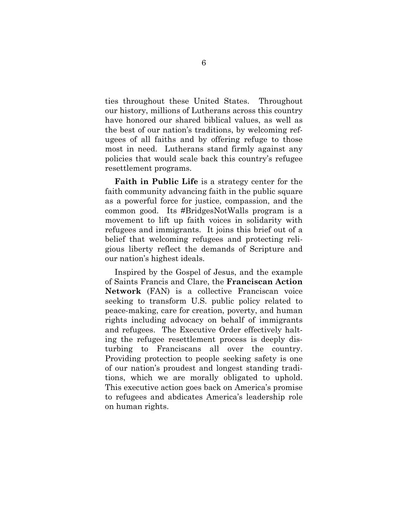ties throughout these United States. Throughout our history, millions of Lutherans across this country have honored our shared biblical values, as well as the best of our nation's traditions, by welcoming refugees of all faiths and by offering refuge to those most in need. Lutherans stand firmly against any policies that would scale back this country's refugee resettlement programs.

**Faith in Public Life** is a strategy center for the faith community advancing faith in the public square as a powerful force for justice, compassion, and the common good. Its #BridgesNotWalls program is a movement to lift up faith voices in solidarity with refugees and immigrants. It joins this brief out of a belief that welcoming refugees and protecting religious liberty reflect the demands of Scripture and our nation's highest ideals.

Inspired by the Gospel of Jesus, and the example of Saints Francis and Clare, the **Franciscan Action Network** (FAN) is a collective Franciscan voice seeking to transform U.S. public policy related to peace-making, care for creation, poverty, and human rights including advocacy on behalf of immigrants and refugees. The Executive Order effectively halting the refugee resettlement process is deeply disturbing to Franciscans all over the country. Providing protection to people seeking safety is one of our nation's proudest and longest standing traditions, which we are morally obligated to uphold. This executive action goes back on America's promise to refugees and abdicates America's leadership role on human rights.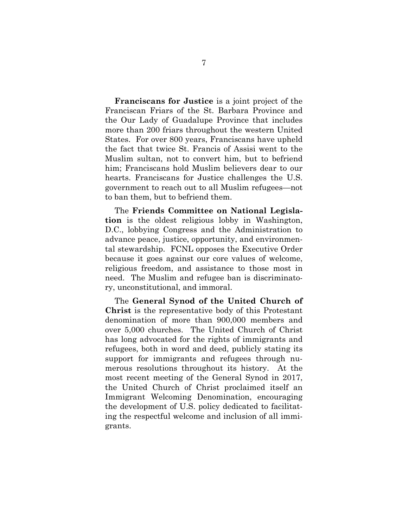**Franciscans for Justice** is a joint project of the Franciscan Friars of the St. Barbara Province and the Our Lady of Guadalupe Province that includes more than 200 friars throughout the western United States. For over 800 years, Franciscans have upheld the fact that twice St. Francis of Assisi went to the Muslim sultan, not to convert him, but to befriend him; Franciscans hold Muslim believers dear to our hearts. Franciscans for Justice challenges the U.S. government to reach out to all Muslim refugees—not to ban them, but to befriend them.

The **Friends Committee on National Legislation** is the oldest religious lobby in Washington, D.C., lobbying Congress and the Administration to advance peace, justice, opportunity, and environmental stewardship. FCNL opposes the Executive Order because it goes against our core values of welcome, religious freedom, and assistance to those most in need. The Muslim and refugee ban is discriminatory, unconstitutional, and immoral.

The **General Synod of the United Church of Christ** is the representative body of this Protestant denomination of more than 900,000 members and over 5,000 churches. The United Church of Christ has long advocated for the rights of immigrants and refugees, both in word and deed, publicly stating its support for immigrants and refugees through numerous resolutions throughout its history. At the most recent meeting of the General Synod in 2017, the United Church of Christ proclaimed itself an Immigrant Welcoming Denomination, encouraging the development of U.S. policy dedicated to facilitating the respectful welcome and inclusion of all immigrants.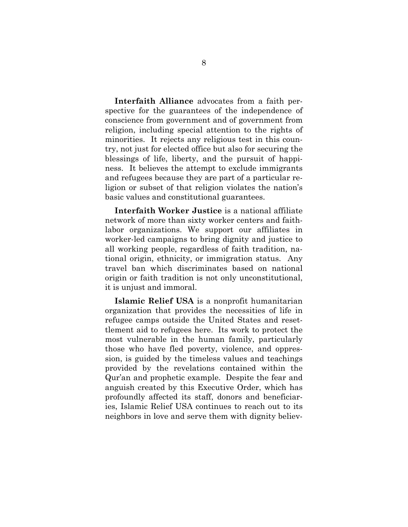**Interfaith Alliance** advocates from a faith perspective for the guarantees of the independence of conscience from government and of government from religion, including special attention to the rights of minorities. It rejects any religious test in this country, not just for elected office but also for securing the blessings of life, liberty, and the pursuit of happiness. It believes the attempt to exclude immigrants and refugees because they are part of a particular religion or subset of that religion violates the nation's basic values and constitutional guarantees.

**Interfaith Worker Justice** is a national affiliate network of more than sixty worker centers and faithlabor organizations. We support our affiliates in worker-led campaigns to bring dignity and justice to all working people, regardless of faith tradition, national origin, ethnicity, or immigration status. Any travel ban which discriminates based on national origin or faith tradition is not only unconstitutional, it is unjust and immoral.

**Islamic Relief USA** is a nonprofit humanitarian organization that provides the necessities of life in refugee camps outside the United States and resettlement aid to refugees here. Its work to protect the most vulnerable in the human family, particularly those who have fled poverty, violence, and oppression, is guided by the timeless values and teachings provided by the revelations contained within the Qur'an and prophetic example. Despite the fear and anguish created by this Executive Order, which has profoundly affected its staff, donors and beneficiaries, Islamic Relief USA continues to reach out to its neighbors in love and serve them with dignity believ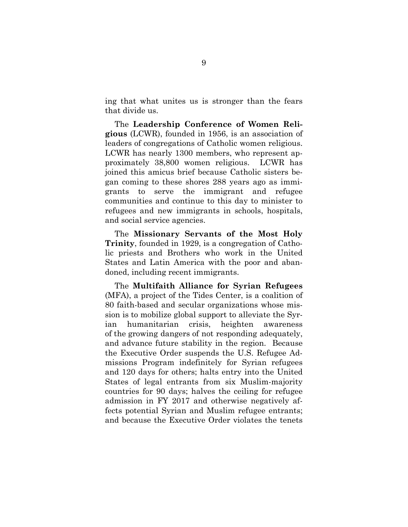ing that what unites us is stronger than the fears that divide us.

The **Leadership Conference of Women Religious** (LCWR), founded in 1956, is an association of leaders of congregations of Catholic women religious. LCWR has nearly 1300 members, who represent approximately 38,800 women religious. LCWR has joined this amicus brief because Catholic sisters began coming to these shores 288 years ago as immigrants to serve the immigrant and refugee communities and continue to this day to minister to refugees and new immigrants in schools, hospitals, and social service agencies.

The **Missionary Servants of the Most Holy Trinity**, founded in 1929, is a congregation of Catholic priests and Brothers who work in the United States and Latin America with the poor and abandoned, including recent immigrants.

The **Multifaith Alliance for Syrian Refugees** (MFA), a project of the Tides Center, is a coalition of 80 faith-based and secular organizations whose mission is to mobilize global support to alleviate the Syrian humanitarian crisis, heighten awareness of the growing dangers of not responding adequately, and advance future stability in the region. Because the Executive Order suspends the U.S. Refugee Admissions Program indefinitely for Syrian refugees and 120 days for others; halts entry into the United States of legal entrants from six Muslim-majority countries for 90 days; halves the ceiling for refugee admission in FY 2017 and otherwise negatively affects potential Syrian and Muslim refugee entrants; and because the Executive Order violates the tenets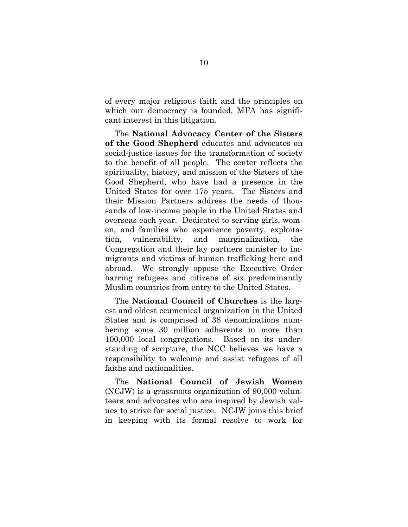of every major religious faith and the principles on which our democracy is founded, MFA has significant interest in this litigation.

The **National Advocacy Center of the Sisters of the Good Shepherd** educates and advocates on social-justice issues for the transformation of society to the benefit of all people. The center reflects the spirituality, history, and mission of the Sisters of the Good Shepherd, who have had a presence in the United States for over 175 years. The Sisters and their Mission Partners address the needs of thousands of low-income people in the United States and overseas each year. Dedicated to serving girls, women, and families who experience poverty, exploitation, vulnerability, and marginalization, the Congregation and their lay partners minister to immigrants and victims of human trafficking here and abroad. We strongly oppose the Executive Order barring refugees and citizens of six predominantly Muslim countries from entry to the United States.

The **National Council of Churches** is the largest and oldest ecumenical organization in the United States and is comprised of 38 denominations numbering some 30 million adherents in more than 100,000 local congregations. Based on its understanding of scripture, the NCC believes we have a responsibility to welcome and assist refugees of all faiths and nationalities.

The **National Council of Jewish Women**  (NCJW) is a grassroots organization of 90,000 volunteers and advocates who are inspired by Jewish values to strive for social justice. NCJW joins this brief in keeping with its formal resolve to work for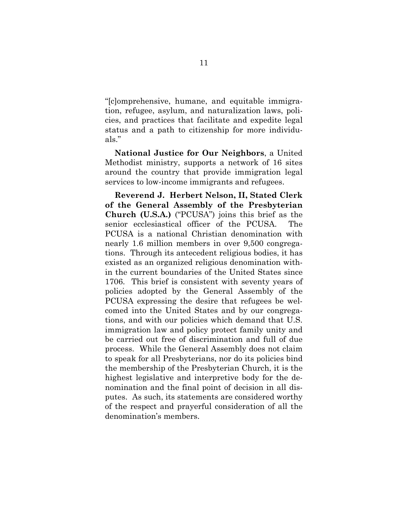"[c]omprehensive, humane, and equitable immigration, refugee, asylum, and naturalization laws, policies, and practices that facilitate and expedite legal status and a path to citizenship for more individuals."

**National Justice for Our Neighbors**, a United Methodist ministry, supports a network of 16 sites around the country that provide immigration legal services to low-income immigrants and refugees.

**Reverend J. Herbert Nelson, II, Stated Clerk of the General Assembly of the Presbyterian Church (U.S.A.)** ("PCUSA") joins this brief as the senior ecclesiastical officer of the PCUSA. The PCUSA is a national Christian denomination with nearly 1.6 million members in over 9,500 congregations. Through its antecedent religious bodies, it has existed as an organized religious denomination within the current boundaries of the United States since 1706. This brief is consistent with seventy years of policies adopted by the General Assembly of the PCUSA expressing the desire that refugees be welcomed into the United States and by our congregations, and with our policies which demand that U.S. immigration law and policy protect family unity and be carried out free of discrimination and full of due process. While the General Assembly does not claim to speak for all Presbyterians, nor do its policies bind the membership of the Presbyterian Church, it is the highest legislative and interpretive body for the denomination and the final point of decision in all disputes. As such, its statements are considered worthy of the respect and prayerful consideration of all the denomination's members.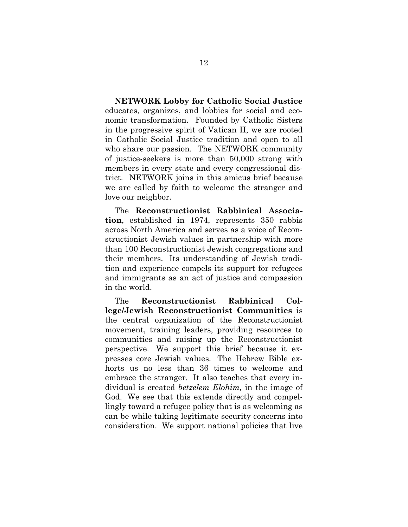**NETWORK Lobby for Catholic Social Justice** educates, organizes, and lobbies for social and economic transformation. Founded by Catholic Sisters in the progressive spirit of Vatican II, we are rooted in Catholic Social Justice tradition and open to all who share our passion. The NETWORK community of justice-seekers is more than 50,000 strong with members in every state and every congressional district. NETWORK joins in this amicus brief because we are called by faith to welcome the stranger and love our neighbor.

The **Reconstructionist Rabbinical Association**, established in 1974, represents 350 rabbis across North America and serves as a voice of Reconstructionist Jewish values in partnership with more than 100 Reconstructionist Jewish congregations and their members. Its understanding of Jewish tradition and experience compels its support for refugees and immigrants as an act of justice and compassion in the world.

The **Reconstructionist Rabbinical College/Jewish Reconstructionist Communities** is the central organization of the Reconstructionist movement, training leaders, providing resources to communities and raising up the Reconstructionist perspective. We support this brief because it expresses core Jewish values. The Hebrew Bible exhorts us no less than 36 times to welcome and embrace the stranger. It also teaches that every individual is created *betzelem Elohim,* in the image of God. We see that this extends directly and compellingly toward a refugee policy that is as welcoming as can be while taking legitimate security concerns into consideration. We support national policies that live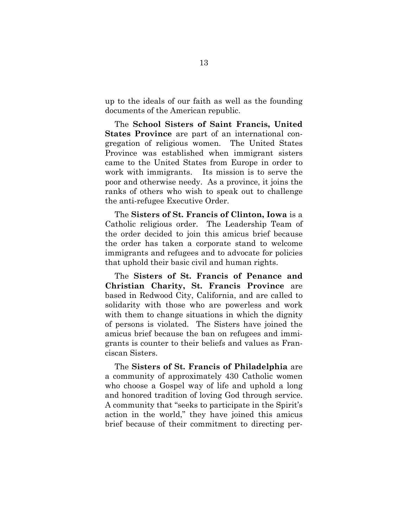up to the ideals of our faith as well as the founding documents of the American republic.

The **School Sisters of Saint Francis, United States Province** are part of an international congregation of religious women. The United States Province was established when immigrant sisters came to the United States from Europe in order to work with immigrants. Its mission is to serve the poor and otherwise needy. As a province, it joins the ranks of others who wish to speak out to challenge the anti-refugee Executive Order.

The **Sisters of St. Francis of Clinton, Iowa** is a Catholic religious order. The Leadership Team of the order decided to join this amicus brief because the order has taken a corporate stand to welcome immigrants and refugees and to advocate for policies that uphold their basic civil and human rights.

The **Sisters of St. Francis of Penance and Christian Charity, St. Francis Province** are based in Redwood City, California, and are called to solidarity with those who are powerless and work with them to change situations in which the dignity of persons is violated. The Sisters have joined the amicus brief because the ban on refugees and immigrants is counter to their beliefs and values as Franciscan Sisters.

The **Sisters of St. Francis of Philadelphia** are a community of approximately 430 Catholic women who choose a Gospel way of life and uphold a long and honored tradition of loving God through service. A community that "seeks to participate in the Spirit's action in the world," they have joined this amicus brief because of their commitment to directing per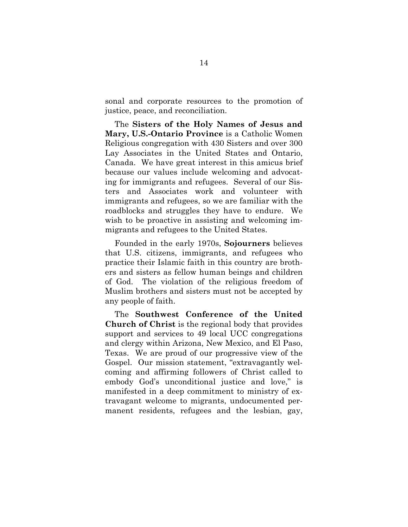sonal and corporate resources to the promotion of justice, peace, and reconciliation.

The **Sisters of the Holy Names of Jesus and Mary, U.S.-Ontario Province** is a Catholic Women Religious congregation with 430 Sisters and over 300 Lay Associates in the United States and Ontario, Canada. We have great interest in this amicus brief because our values include welcoming and advocating for immigrants and refugees. Several of our Sisters and Associates work and volunteer with immigrants and refugees, so we are familiar with the roadblocks and struggles they have to endure. We wish to be proactive in assisting and welcoming immigrants and refugees to the United States.

Founded in the early 1970s, **Sojourners** believes that U.S. citizens, immigrants, and refugees who practice their Islamic faith in this country are brothers and sisters as fellow human beings and children of God. The violation of the religious freedom of Muslim brothers and sisters must not be accepted by any people of faith.

The **Southwest Conference of the United Church of Christ** is the regional body that provides support and services to 49 local UCC congregations and clergy within Arizona, New Mexico, and El Paso, Texas. We are proud of our progressive view of the Gospel. Our mission statement, "extravagantly welcoming and affirming followers of Christ called to embody God's unconditional justice and love," is manifested in a deep commitment to ministry of extravagant welcome to migrants, undocumented permanent residents, refugees and the lesbian, gay,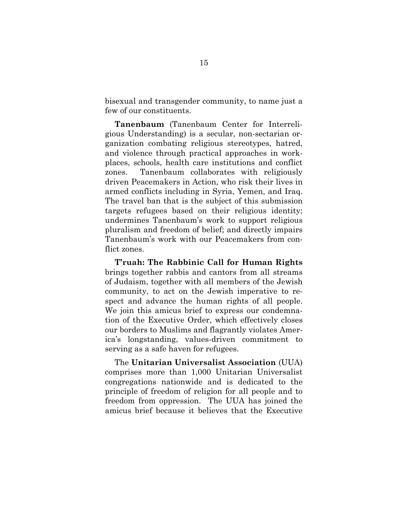bisexual and transgender community, to name just a few of our constituents.

**Tanenbaum** (Tanenbaum Center for Interreligious Understanding) is a secular, non-sectarian organization combating religious stereotypes, hatred, and violence through practical approaches in workplaces, schools, health care institutions and conflict zones. Tanenbaum collaborates with religiously driven Peacemakers in Action, who risk their lives in armed conflicts including in Syria, Yemen, and Iraq. The travel ban that is the subject of this submission targets refugees based on their religious identity; undermines Tanenbaum's work to support religious pluralism and freedom of belief; and directly impairs Tanenbaum's work with our Peacemakers from conflict zones.

**T'ruah: The Rabbinic Call for Human Rights** brings together rabbis and cantors from all streams of Judaism, together with all members of the Jewish community, to act on the Jewish imperative to respect and advance the human rights of all people. We join this amicus brief to express our condemnation of the Executive Order, which effectively closes our borders to Muslims and flagrantly violates America's longstanding, values-driven commitment to serving as a safe haven for refugees.

The **Unitarian Universalist Association** (UUA) comprises more than 1,000 Unitarian Universalist congregations nationwide and is dedicated to the principle of freedom of religion for all people and to freedom from oppression. The UUA has joined the amicus brief because it believes that the Executive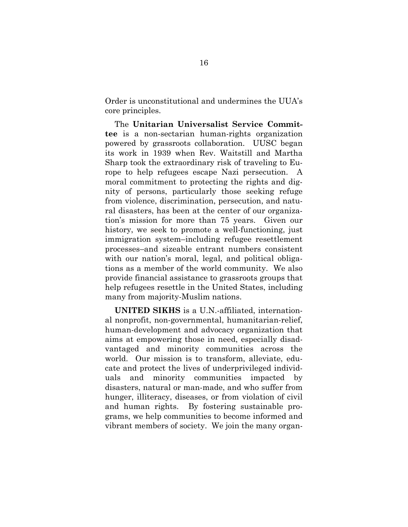Order is unconstitutional and undermines the UUA's core principles.

The **Unitarian Universalist Service Committee** is a non-sectarian human-rights organization powered by grassroots collaboration. UUSC began its work in 1939 when Rev. Waitstill and Martha Sharp took the extraordinary risk of traveling to Europe to help refugees escape Nazi persecution. A moral commitment to protecting the rights and dignity of persons, particularly those seeking refuge from violence, discrimination, persecution, and natural disasters, has been at the center of our organization's mission for more than 75 years. Given our history, we seek to promote a well-functioning, just immigration system–including refugee resettlement processes–and sizeable entrant numbers consistent with our nation's moral, legal, and political obligations as a member of the world community. We also provide financial assistance to grassroots groups that help refugees resettle in the United States, including many from majority-Muslim nations.

**UNITED SIKHS** is a U.N.-affiliated, international nonprofit, non-governmental, humanitarian-relief, human-development and advocacy organization that aims at empowering those in need, especially disadvantaged and minority communities across the world. Our mission is to transform, alleviate, educate and protect the lives of underprivileged individuals and minority communities impacted by disasters, natural or man-made, and who suffer from hunger, illiteracy, diseases, or from violation of civil and human rights. By fostering sustainable programs, we help communities to become informed and vibrant members of society. We join the many organ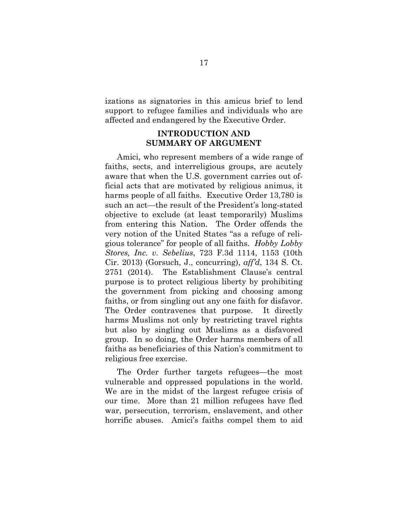izations as signatories in this amicus brief to lend support to refugee families and individuals who are affected and endangered by the Executive Order.

# **INTRODUCTION AND SUMMARY OF ARGUMENT**

Amici, who represent members of a wide range of faiths, sects, and interreligious groups, are acutely aware that when the U.S. government carries out official acts that are motivated by religious animus, it harms people of all faiths. Executive Order 13,780 is such an act—the result of the President's long-stated objective to exclude (at least temporarily) Muslims from entering this Nation. The Order offends the very notion of the United States "as a refuge of religious tolerance" for people of all faiths. *Hobby Lobby Stores, Inc. v. Sebelius*, 723 F.3d 1114, 1153 (10th Cir. 2013) (Gorsuch, J., concurring), *aff'd*, 134 S. Ct. 2751 (2014). The Establishment Clause's central purpose is to protect religious liberty by prohibiting the government from picking and choosing among faiths, or from singling out any one faith for disfavor. The Order contravenes that purpose. It directly harms Muslims not only by restricting travel rights but also by singling out Muslims as a disfavored group. In so doing, the Order harms members of all faiths as beneficiaries of this Nation's commitment to religious free exercise.

The Order further targets refugees—the most vulnerable and oppressed populations in the world. We are in the midst of the largest refugee crisis of our time. More than 21 million refugees have fled war, persecution, terrorism, enslavement, and other horrific abuses. Amici's faiths compel them to aid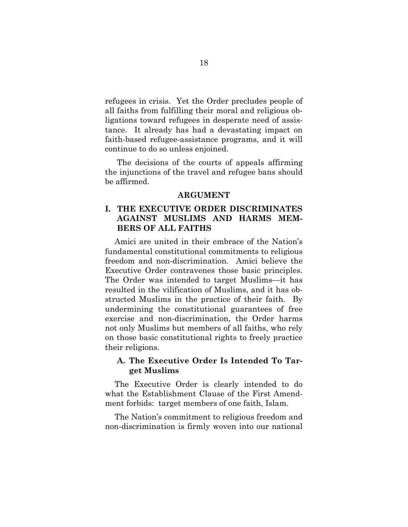refugees in crisis. Yet the Order precludes people of all faiths from fulfilling their moral and religious obligations toward refugees in desperate need of assistance. It already has had a devastating impact on faith-based refugee-assistance programs, and it will continue to do so unless enjoined.

The decisions of the courts of appeals affirming the injunctions of the travel and refugee bans should be affirmed.

#### **ARGUMENT**

## **I. THE EXECUTIVE ORDER DISCRIMINATES AGAINST MUSLIMS AND HARMS MEM-BERS OF ALL FAITHS**

Amici are united in their embrace of the Nation's fundamental constitutional commitments to religious freedom and non-discrimination. Amici believe the Executive Order contravenes those basic principles. The Order was intended to target Muslims—it has resulted in the vilification of Muslims, and it has obstructed Muslims in the practice of their faith. By undermining the constitutional guarantees of free exercise and non-discrimination, the Order harms not only Muslims but members of all faiths, who rely on those basic constitutional rights to freely practice their religions.

#### **A. The Executive Order Is Intended To Target Muslims**

The Executive Order is clearly intended to do what the Establishment Clause of the First Amendment forbids: target members of one faith, Islam.

The Nation's commitment to religious freedom and non-discrimination is firmly woven into our national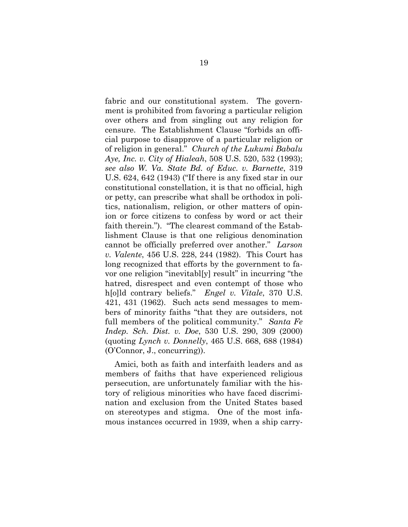fabric and our constitutional system. The government is prohibited from favoring a particular religion over others and from singling out any religion for censure. The Establishment Clause "forbids an official purpose to disapprove of a particular religion or of religion in general." *Church of the Lukumi Babalu Aye, Inc. v. City of Hialeah*, 508 U.S. 520, 532 (1993); *see also W. Va. State Bd. of Educ. v. Barnette*, 319 U.S. 624, 642 (1943) ("If there is any fixed star in our constitutional constellation, it is that no official, high or petty, can prescribe what shall be orthodox in politics, nationalism, religion, or other matters of opinion or force citizens to confess by word or act their faith therein."). "The clearest command of the Establishment Clause is that one religious denomination cannot be officially preferred over another." *Larson v. Valente*, 456 U.S. 228, 244 (1982). This Court has long recognized that efforts by the government to favor one religion "inevitabl[y] result" in incurring "the hatred, disrespect and even contempt of those who h[o]ld contrary beliefs." *Engel v. Vitale*, 370 U.S. 421, 431 (1962). Such acts send messages to members of minority faiths "that they are outsiders, not full members of the political community." *Santa Fe Indep. Sch. Dist. v. Doe*, 530 U.S. 290, 309 (2000) (quoting *Lynch v. Donnelly*, 465 U.S. 668, 688 (1984) (O'Connor, J., concurring)).

Amici, both as faith and interfaith leaders and as members of faiths that have experienced religious persecution, are unfortunately familiar with the history of religious minorities who have faced discrimination and exclusion from the United States based on stereotypes and stigma. One of the most infamous instances occurred in 1939, when a ship carry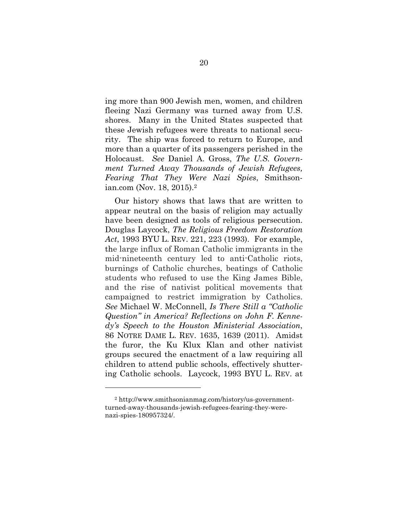ing more than 900 Jewish men, women, and children fleeing Nazi Germany was turned away from U.S. shores. Many in the United States suspected that these Jewish refugees were threats to national security. The ship was forced to return to Europe, and more than a quarter of its passengers perished in the Holocaust. *See* Daniel A. Gross, *The U.S. Government Turned Away Thousands of Jewish Refugees, Fearing That They Were Nazi Spies*, Smithsonian.com (Nov. 18, 2015).2

Our history shows that laws that are written to appear neutral on the basis of religion may actually have been designed as tools of religious persecution. Douglas Laycock, *The Religious Freedom Restoration Act*, 1993 BYU L. REV. 221, 223 (1993). For example, the large influx of Roman Catholic immigrants in the mid-nineteenth century led to anti-Catholic riots, burnings of Catholic churches, beatings of Catholic students who refused to use the King James Bible, and the rise of nativist political movements that campaigned to restrict immigration by Catholics. *See* Michael W. McConnell, *Is There Still a "Catholic Question" in America? Reflections on John F. Kennedy's Speech to the Houston Ministerial Association*, 86 NOTRE DAME L. REV. 1635, 1639 (2011). Amidst the furor, the Ku Klux Klan and other nativist groups secured the enactment of a law requiring all children to attend public schools, effectively shuttering Catholic schools. Laycock, 1993 BYU L. REV. at

<sup>2</sup> http://www.smithsonianmag.com/history/us-governmentturned-away-thousands-jewish-refugees-fearing-they-werenazi-spies-180957324/.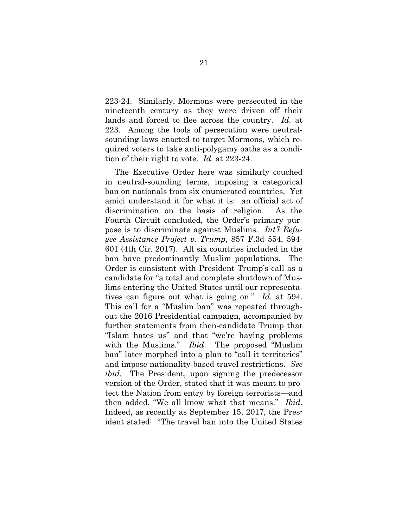223-24. Similarly, Mormons were persecuted in the nineteenth century as they were driven off their lands and forced to flee across the country. *Id.* at 223. Among the tools of persecution were neutralsounding laws enacted to target Mormons, which required voters to take anti-polygamy oaths as a condition of their right to vote. *Id.* at 223-24.

The Executive Order here was similarly couched in neutral-sounding terms, imposing a categorical ban on nationals from six enumerated countries. Yet amici understand it for what it is: an official act of discrimination on the basis of religion. As the Fourth Circuit concluded, the Order's primary purpose is to discriminate against Muslims. *Int'l Refugee Assistance Project v. Trump*, 857 F.3d 554, 594- 601 (4th Cir. 2017). All six countries included in the ban have predominantly Muslim populations. The Order is consistent with President Trump's call as a candidate for "a total and complete shutdown of Muslims entering the United States until our representatives can figure out what is going on." *Id.* at 594. This call for a "Muslim ban" was repeated throughout the 2016 Presidential campaign, accompanied by further statements from then-candidate Trump that "Islam hates us" and that "we're having problems with the Muslims." *Ibid*. The proposed "Muslim ban" later morphed into a plan to "call it territories" and impose nationality-based travel restrictions. *See ibid.* The President, upon signing the predecessor version of the Order, stated that it was meant to protect the Nation from entry by foreign terrorists—and then added, "We all know what that means." *Ibid*. Indeed, as recently as September 15, 2017, the President stated: "The travel ban into the United States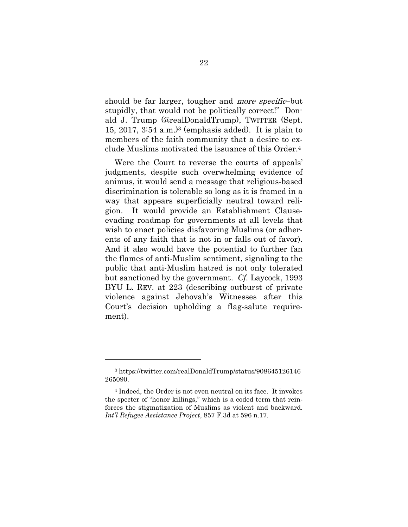should be far larger, tougher and more specific–but stupidly, that would not be politically correct!" Donald J. Trump (@realDonaldTrump), TWITTER (Sept. 15, 2017, 3:54 a.m.)3 (emphasis added). It is plain to members of the faith community that a desire to exclude Muslims motivated the issuance of this Order.4

Were the Court to reverse the courts of appeals' judgments, despite such overwhelming evidence of animus, it would send a message that religious-based discrimination is tolerable so long as it is framed in a way that appears superficially neutral toward religion. It would provide an Establishment Clauseevading roadmap for governments at all levels that wish to enact policies disfavoring Muslims (or adherents of any faith that is not in or falls out of favor). And it also would have the potential to further fan the flames of anti-Muslim sentiment, signaling to the public that anti-Muslim hatred is not only tolerated but sanctioned by the government. *Cf.* Laycock, 1993 BYU L. REV. at 223 (describing outburst of private violence against Jehovah's Witnesses after this Court's decision upholding a flag-salute requirement).

<sup>3</sup> https://twitter.com/realDonaldTrump/status/908645126146 265090.

<sup>4</sup> Indeed, the Order is not even neutral on its face. It invokes the specter of "honor killings," which is a coded term that reinforces the stigmatization of Muslims as violent and backward. *Int'l Refugee Assistance Project*, 857 F.3d at 596 n.17.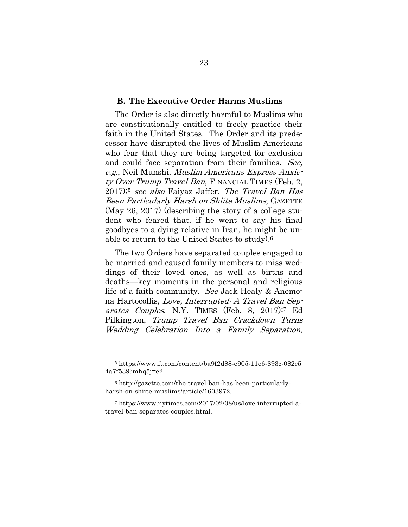#### **B. The Executive Order Harms Muslims**

The Order is also directly harmful to Muslims who are constitutionally entitled to freely practice their faith in the United States. The Order and its predecessor have disrupted the lives of Muslim Americans who fear that they are being targeted for exclusion and could face separation from their families. See, e.g., Neil Munshi, Muslim Americans Express Anxiety Over Trump Travel Ban, FINANCIAL TIMES (Feb. 2, 2017);5 see also Faiyaz Jaffer, The Travel Ban Has Been Particularly Harsh on Shiite Muslims, GAZETTE (May 26, 2017) (describing the story of a college student who feared that, if he went to say his final goodbyes to a dying relative in Iran, he might be unable to return to the United States to study).6

The two Orders have separated couples engaged to be married and caused family members to miss weddings of their loved ones, as well as births and deaths—key moments in the personal and religious life of a faith community. See Jack Healy & Anemona Hartocollis, Love, Interrupted: A Travel Ban Separates Couples, N.Y. TIMES (Feb. 8, 2017);<sup>7</sup> Ed Pilkington, Trump Travel Ban Crackdown Turns Wedding Celebration Into a Family Separation,

<sup>5</sup> https://www.ft.com/content/ba9f2d88-e905-11e6-893c-082c5 4a7f539?mhq5j=e2.

<sup>6</sup> http://gazette.com/the-travel-ban-has-been-particularlyharsh-on-shiite-muslims/article/1603972.

<sup>7</sup> https://www.nytimes.com/2017/02/08/us/love-interrupted-atravel-ban-separates-couples.html.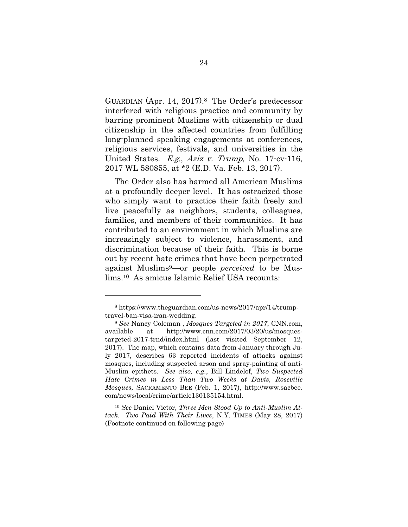GUARDIAN (Apr. 14, 2017).8 The Order's predecessor interfered with religious practice and community by barring prominent Muslims with citizenship or dual citizenship in the affected countries from fulfilling long-planned speaking engagements at conferences, religious services, festivals, and universities in the United States. E.g., Aziz v. Trump, No. 17-cv-116, 2017 WL 580855, at \*2 (E.D. Va. Feb. 13, 2017).

The Order also has harmed all American Muslims at a profoundly deeper level. It has ostracized those who simply want to practice their faith freely and live peacefully as neighbors, students, colleagues, families, and members of their communities. It has contributed to an environment in which Muslims are increasingly subject to violence, harassment, and discrimination because of their faith. This is borne out by recent hate crimes that have been perpetrated against Muslims9—or people *perceived* to be Muslims.10 As amicus Islamic Relief USA recounts:

<sup>8</sup> https://www.theguardian.com/us-news/2017/apr/14/trumptravel-ban-visa-iran-wedding.

<sup>9</sup> *See* Nancy Coleman , *Mosques Targeted in 2017*, CNN.com, available at http://www.cnn.com/2017/03/20/us/mosquestargeted-2017-trnd/index.html (last visited September 12, 2017). The map, which contains data from January through July 2017, describes 63 reported incidents of attacks against mosques, including suspected arson and spray-painting of anti-Muslim epithets. *See also, e.g.*, Bill Lindelof, *Two Suspected Hate Crimes in Less Than Two Weeks at Davis, Roseville Mosques*, SACRAMENTO BEE (Feb. 1, 2017), http://www.sacbee. com/news/local/crime/article130135154.html.

<sup>10</sup> *See* Daniel Victor, *Three Men Stood Up to Anti-Muslim Attack. Two Paid With Their Lives*, N.Y. TIMES (May 28, 2017) (Footnote continued on following page)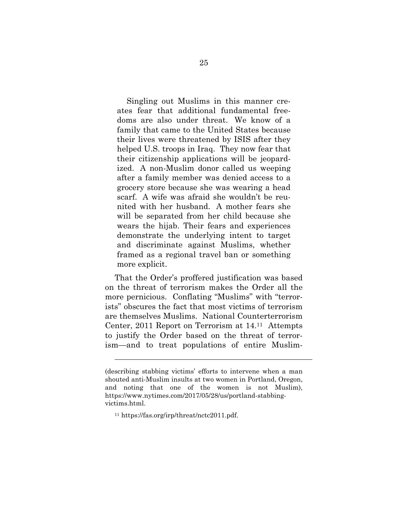Singling out Muslims in this manner creates fear that additional fundamental freedoms are also under threat. We know of a family that came to the United States because their lives were threatened by ISIS after they helped U.S. troops in Iraq. They now fear that their citizenship applications will be jeopardized. A non-Muslim donor called us weeping after a family member was denied access to a grocery store because she was wearing a head scarf. A wife was afraid she wouldn't be reunited with her husband. A mother fears she will be separated from her child because she wears the hijab. Their fears and experiences demonstrate the underlying intent to target and discriminate against Muslims, whether framed as a regional travel ban or something more explicit.

That the Order's proffered justification was based on the threat of terrorism makes the Order all the more pernicious. Conflating "Muslims" with "terrorists" obscures the fact that most victims of terrorism are themselves Muslims. National Counterterrorism Center, 2011 Report on Terrorism at 14.11 Attempts to justify the Order based on the threat of terrorism—and to treat populations of entire Muslim-

1

<sup>(</sup>describing stabbing victims' efforts to intervene when a man shouted anti-Muslim insults at two women in Portland, Oregon, and noting that one of the women is not Muslim), https://www.nytimes.com/2017/05/28/us/portland-stabbingvictims.html.

<sup>11</sup> https://fas.org/irp/threat/nctc2011.pdf.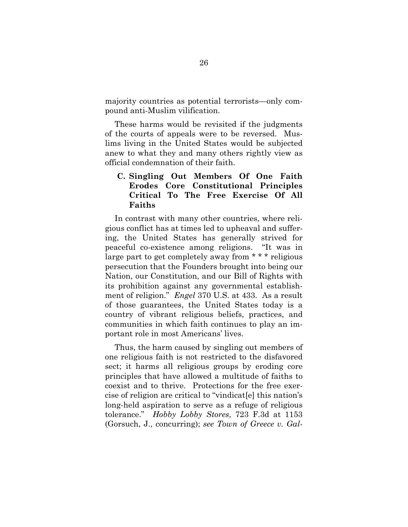majority countries as potential terrorists—only compound anti-Muslim vilification.

These harms would be revisited if the judgments of the courts of appeals were to be reversed. Muslims living in the United States would be subjected anew to what they and many others rightly view as official condemnation of their faith.

## **C. Singling Out Members Of One Faith Erodes Core Constitutional Principles Critical To The Free Exercise Of All Faiths**

In contrast with many other countries, where religious conflict has at times led to upheaval and suffering, the United States has generally strived for peaceful co-existence among religions. "It was in large part to get completely away from \* \* \* religious persecution that the Founders brought into being our Nation, our Constitution, and our Bill of Rights with its prohibition against any governmental establishment of religion." *Engel* 370 U.S. at 433. As a result of those guarantees, the United States today is a country of vibrant religious beliefs, practices, and communities in which faith continues to play an important role in most Americans' lives.

Thus, the harm caused by singling out members of one religious faith is not restricted to the disfavored sect; it harms all religious groups by eroding core principles that have allowed a multitude of faiths to coexist and to thrive. Protections for the free exercise of religion are critical to "vindicat[e] this nation's long-held aspiration to serve as a refuge of religious tolerance." *Hobby Lobby Stores*, 723 F.3d at 1153 (Gorsuch, J., concurring); *see Town of Greece v. Gal-*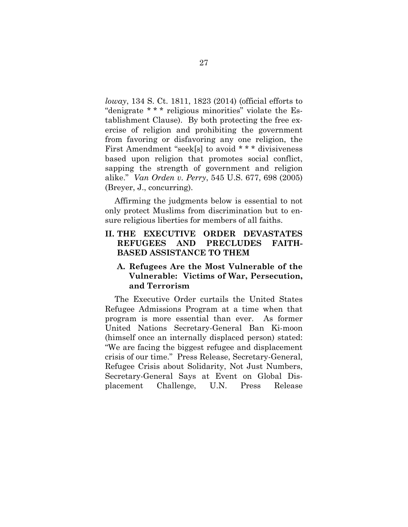*loway*, 134 S. Ct. 1811, 1823 (2014) (official efforts to "denigrate \* \* \* religious minorities" violate the Establishment Clause). By both protecting the free exercise of religion and prohibiting the government from favoring or disfavoring any one religion, the First Amendment "seek[s] to avoid \* \* \* divisiveness based upon religion that promotes social conflict, sapping the strength of government and religion alike." *Van Orden v. Perry*, 545 U.S. 677, 698 (2005) (Breyer, J., concurring).

Affirming the judgments below is essential to not only protect Muslims from discrimination but to ensure religious liberties for members of all faiths.

### **II. THE EXECUTIVE ORDER DEVASTATES REFUGEES AND PRECLUDES FAITH-BASED ASSISTANCE TO THEM**

#### **A. Refugees Are the Most Vulnerable of the Vulnerable: Victims of War, Persecution, and Terrorism**

The Executive Order curtails the United States Refugee Admissions Program at a time when that program is more essential than ever. As former United Nations Secretary-General Ban Ki-moon (himself once an internally displaced person) stated: "We are facing the biggest refugee and displacement crisis of our time." Press Release, Secretary-General, Refugee Crisis about Solidarity, Not Just Numbers, Secretary-General Says at Event on Global Displacement Challenge, U.N. Press Release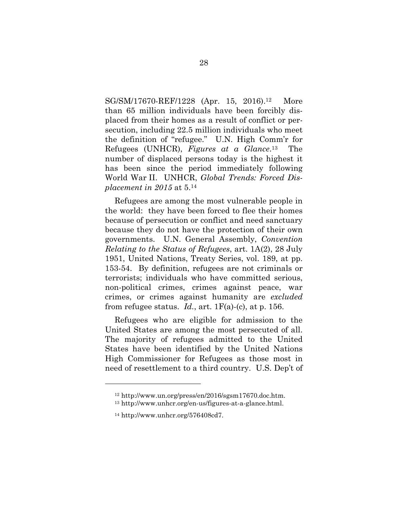SG/SM/17670-REF/1228 (Apr. 15, 2016).12 More than 65 million individuals have been forcibly displaced from their homes as a result of conflict or persecution, including 22.5 million individuals who meet the definition of "refugee." U.N. High Comm'r for Refugees (UNHCR), *Figures at a Glance*.13 The number of displaced persons today is the highest it has been since the period immediately following World War II. UNHCR, *Global Trends: Forced Displacement in 2015* at 5.14

Refugees are among the most vulnerable people in the world: they have been forced to flee their homes because of persecution or conflict and need sanctuary because they do not have the protection of their own governments. U.N. General Assembly, *Convention Relating to the Status of Refugees*, art. 1A(2), 28 July 1951, United Nations, Treaty Series, vol. 189, at pp. 153-54. By definition, refugees are not criminals or terrorists; individuals who have committed serious, non-political crimes, crimes against peace, war crimes, or crimes against humanity are *excluded* from refugee status.  $Id.$ , art.  $1F(a)-(c)$ , at p. 156.

Refugees who are eligible for admission to the United States are among the most persecuted of all. The majority of refugees admitted to the United States have been identified by the United Nations High Commissioner for Refugees as those most in need of resettlement to a third country. U.S. Dep't of

<sup>12</sup> http://www.un.org/press/en/2016/sgsm17670.doc.htm.

<sup>13</sup> http://www.unhcr.org/en-us/figures-at-a-glance.html.

<sup>14</sup> http://www.unhcr.org/576408cd7.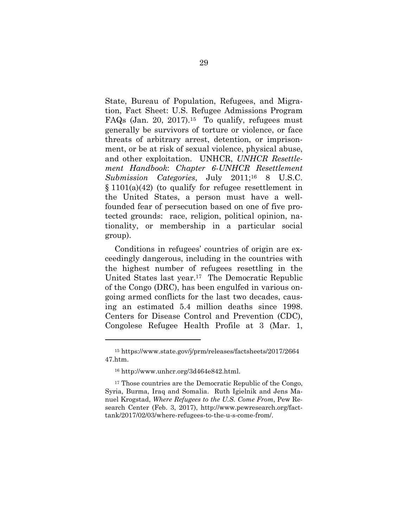State, Bureau of Population, Refugees, and Migration, Fact Sheet: U.S. Refugee Admissions Program FAQs (Jan. 20, 2017).15 To qualify, refugees must generally be survivors of torture or violence, or face threats of arbitrary arrest, detention, or imprisonment, or be at risk of sexual violence, physical abuse, and other exploitation. UNHCR, *UNHCR Resettlement Handbook*: *Chapter 6-UNHCR Resettlement Submission Categories*, July 2011;16 8 U.S.C. § 1101(a)(42) (to qualify for refugee resettlement in the United States, a person must have a wellfounded fear of persecution based on one of five protected grounds: race, religion, political opinion, nationality, or membership in a particular social group).

Conditions in refugees' countries of origin are exceedingly dangerous, including in the countries with the highest number of refugees resettling in the United States last year.17 The Democratic Republic of the Congo (DRC), has been engulfed in various ongoing armed conflicts for the last two decades, causing an estimated 5.4 million deaths since 1998. Centers for Disease Control and Prevention (CDC), Congolese Refugee Health Profile at 3 (Mar. 1,

<sup>15</sup> https://www.state.gov/j/prm/releases/factsheets/2017/2664 47.htm.

<sup>16</sup> http://www.unhcr.org/3d464e842.html.

<sup>&</sup>lt;sup>17</sup> Those countries are the Democratic Republic of the Congo, Syria, Burma, Iraq and Somalia. Ruth Igielnik and Jens Manuel Krogstad, *Where Refugees to the U.S. Come From*, Pew Research Center (Feb. 3, 2017), http://www.pewresearch.org/facttank/2017/02/03/where-refugees-to-the-u-s-come-from/.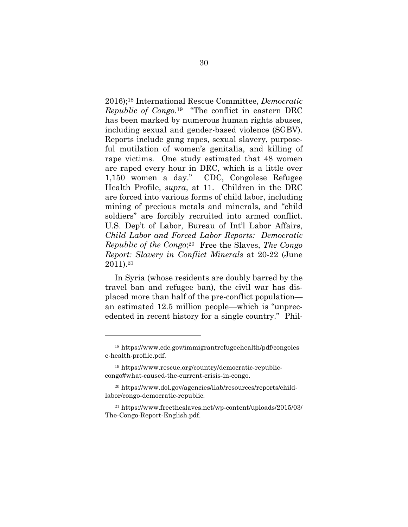2016);18 International Rescue Committee, *Democratic Republic of Congo*.19 "The conflict in eastern DRC has been marked by numerous human rights abuses, including sexual and gender-based violence (SGBV). Reports include gang rapes, sexual slavery, purposeful mutilation of women's genitalia, and killing of rape victims. One study estimated that 48 women are raped every hour in DRC, which is a little over 1,150 women a day." CDC, Congolese Refugee Health Profile, *supra*, at 11. Children in the DRC are forced into various forms of child labor, including mining of precious metals and minerals, and "child soldiers" are forcibly recruited into armed conflict. U.S. Dep't of Labor, Bureau of Int'l Labor Affairs, *Child Labor and Forced Labor Reports: Democratic Republic of the Congo*;20 Free the Slaves, *The Congo Report: Slavery in Conflict Minerals* at 20-22 (June 2011).21

In Syria (whose residents are doubly barred by the travel ban and refugee ban), the civil war has displaced more than half of the pre-conflict population an estimated 12.5 million people—which is "unprecedented in recent history for a single country." Phil-

<sup>18</sup> https://www.cdc.gov/immigrantrefugeehealth/pdf/congoles e-health-profile.pdf.

<sup>19</sup> https://www.rescue.org/country/democratic-republiccongo#what-caused-the-current-crisis-in-congo.

<sup>20</sup> https://www.dol.gov/agencies/ilab/resources/reports/childlabor/congo-democratic-republic.

<sup>21</sup> https://www.freetheslaves.net/wp-content/uploads/2015/03/ The-Congo-Report-English.pdf.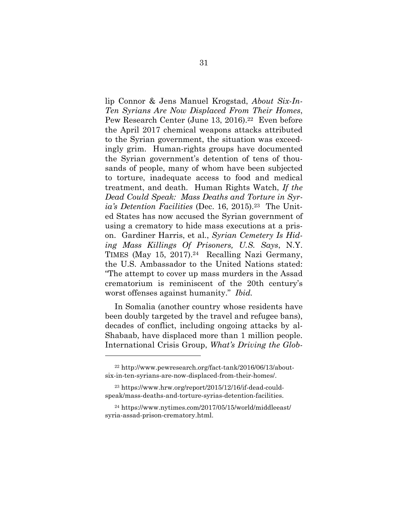lip Connor & Jens Manuel Krogstad, *About Six-In-Ten Syrians Are Now Displaced From Their Homes*, Pew Research Center (June 13, 2016).<sup>22</sup> Even before the April 2017 chemical weapons attacks attributed to the Syrian government, the situation was exceedingly grim. Human-rights groups have documented the Syrian government's detention of tens of thousands of people, many of whom have been subjected to torture, inadequate access to food and medical treatment, and death. Human Rights Watch, *If the Dead Could Speak: Mass Deaths and Torture in Syria's Detention Facilities* (Dec. 16, 2015).23 The United States has now accused the Syrian government of using a crematory to hide mass executions at a prison. Gardiner Harris, et al., *Syrian Cemetery Is Hiding Mass Killings Of Prisoners, U.S. Says*, N.Y. TIMES (May 15, 2017).<sup>24</sup> Recalling Nazi Germany, the U.S. Ambassador to the United Nations stated: "The attempt to cover up mass murders in the Assad crematorium is reminiscent of the 20th century's worst offenses against humanity." *Ibid.*

In Somalia (another country whose residents have been doubly targeted by the travel and refugee bans), decades of conflict, including ongoing attacks by al-Shabaab, have displaced more than 1 million people. International Crisis Group, *What's Driving the Glob-*

<sup>22</sup> http://www.pewresearch.org/fact-tank/2016/06/13/aboutsix-in-ten-syrians-are-now-displaced-from-their-homes/.

<sup>23</sup> https://www.hrw.org/report/2015/12/16/if-dead-couldspeak/mass-deaths-and-torture-syrias-detention-facilities.

<sup>24</sup> https://www.nytimes.com/2017/05/15/world/middleeast/ syria-assad-prison-crematory.html.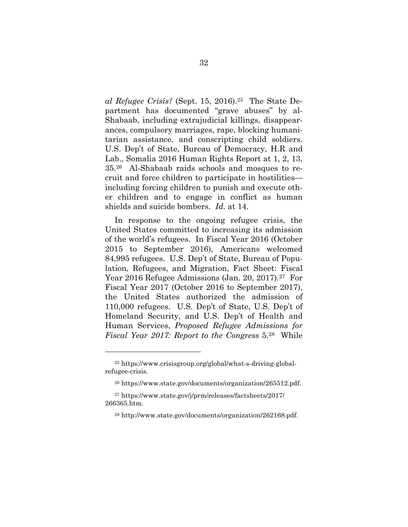*al Refugee Crisis?* (Sept. 15, 2016).25 The State Department has documented "grave abuses" by al-Shabaab, including extrajudicial killings, disappearances, compulsory marriages, rape, blocking humanitarian assistance, and conscripting child soldiers. U.S. Dep't of State, Bureau of Democracy, H.R and Lab., Somalia 2016 Human Rights Report at 1, 2, 13, 35.26 Al-Shabaab raids schools and mosques to recruit and force children to participate in hostilities including forcing children to punish and execute other children and to engage in conflict as human shields and suicide bombers. *Id.* at 14.

In response to the ongoing refugee crisis, the United States committed to increasing its admission of the world's refugees. In Fiscal Year 2016 (October 2015 to September 2016), Americans welcomed 84,995 refugees. U.S. Dep't of State, Bureau of Population, Refugees, and Migration, Fact Sheet: Fiscal Year 2016 Refugee Admissions (Jan. 20, 2017).<sup>27</sup> For Fiscal Year 2017 (October 2016 to September 2017), the United States authorized the admission of 110,000 refugees. U.S. Dep't of State, U.S. Dep't of Homeland Security, and U.S. Dep't of Health and Human Services, *Proposed Refugee Admissions for Fiscal Year 2017: Report to the Congress* 5.28 While

<sup>25</sup> https://www.crisisgroup.org/global/what-s-driving-globalrefugee-crisis.

<sup>26</sup> https://www.state.gov/documents/organization/265512.pdf.

<sup>27</sup> https://www.state.gov/j/prm/releases/factsheets/2017/ 266365.htm.

<sup>28</sup> http://www.state.gov/documents/organization/262168.pdf.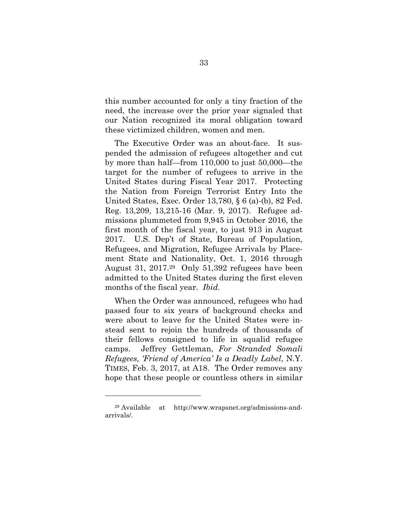this number accounted for only a tiny fraction of the need, the increase over the prior year signaled that our Nation recognized its moral obligation toward these victimized children, women and men.

The Executive Order was an about-face. It suspended the admission of refugees altogether and cut by more than half—from 110,000 to just 50,000—the target for the number of refugees to arrive in the United States during Fiscal Year 2017. Protecting the Nation from Foreign Terrorist Entry Into the United States, Exec. Order 13,780, § 6 (a)-(b), 82 Fed. Reg. 13,209, 13,215-16 (Mar. 9, 2017). Refugee admissions plummeted from 9,945 in October 2016, the first month of the fiscal year, to just 913 in August 2017. U.S. Dep't of State, Bureau of Population, Refugees, and Migration, Refugee Arrivals by Placement State and Nationality, Oct. 1, 2016 through August 31, 2017.29 Only 51,392 refugees have been admitted to the United States during the first eleven months of the fiscal year. *Ibid.*

When the Order was announced, refugees who had passed four to six years of background checks and were about to leave for the United States were instead sent to rejoin the hundreds of thousands of their fellows consigned to life in squalid refugee camps. Jeffrey Gettleman, *For Stranded Somali Refugees, 'Friend of America' Is a Deadly Label*, N.Y. TIMES, Feb. 3, 2017, at A18. The Order removes any hope that these people or countless others in similar

 $\overline{a}$ 

<sup>29</sup> Available at http://www.wrapsnet.org/admissions-andarrivals/.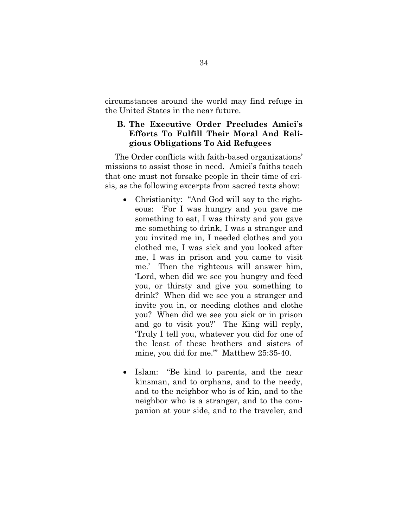circumstances around the world may find refuge in the United States in the near future.

# **B. The Executive Order Precludes Amici's Efforts To Fulfill Their Moral And Religious Obligations To Aid Refugees**

The Order conflicts with faith-based organizations' missions to assist those in need. Amici's faiths teach that one must not forsake people in their time of crisis, as the following excerpts from sacred texts show:

- Christianity: "And God will say to the righteous: 'For I was hungry and you gave me something to eat, I was thirsty and you gave me something to drink, I was a stranger and you invited me in, I needed clothes and you clothed me, I was sick and you looked after me, I was in prison and you came to visit me.' Then the righteous will answer him, 'Lord, when did we see you hungry and feed you, or thirsty and give you something to drink? When did we see you a stranger and invite you in, or needing clothes and clothe you? When did we see you sick or in prison and go to visit you?' The King will reply, 'Truly I tell you, whatever you did for one of the least of these brothers and sisters of mine, you did for me.'" Matthew 25:35-40.
- Islam: "Be kind to parents, and the near kinsman, and to orphans, and to the needy, and to the neighbor who is of kin, and to the neighbor who is a stranger, and to the companion at your side, and to the traveler, and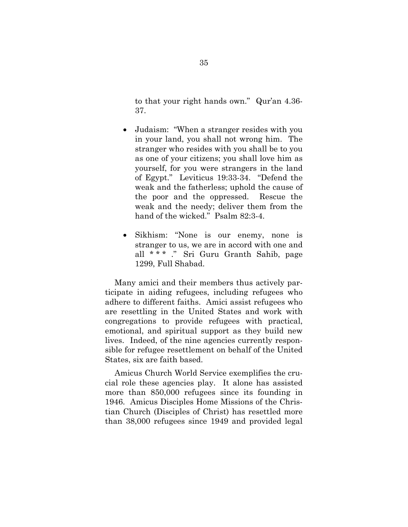to that your right hands own."Qur'an 4.36- 37.

- Judaism: "When a stranger resides with you in your land, you shall not wrong him. The stranger who resides with you shall be to you as one of your citizens; you shall love him as yourself, for you were strangers in the land of Egypt." Leviticus 19:33-34. "Defend the weak and the fatherless; uphold the cause of the poor and the oppressed. Rescue the weak and the needy; deliver them from the hand of the wicked." Psalm 82:3-4.
- Sikhism: "None is our enemy, none is stranger to us, we are in accord with one and all \* \* \* ." Sri Guru Granth Sahib, page 1299, Full Shabad.

Many amici and their members thus actively participate in aiding refugees, including refugees who adhere to different faiths. Amici assist refugees who are resettling in the United States and work with congregations to provide refugees with practical, emotional, and spiritual support as they build new lives. Indeed, of the nine agencies currently responsible for refugee resettlement on behalf of the United States, six are faith based.

Amicus Church World Service exemplifies the crucial role these agencies play. It alone has assisted more than 850,000 refugees since its founding in 1946. Amicus Disciples Home Missions of the Christian Church (Disciples of Christ) has resettled more than 38,000 refugees since 1949 and provided legal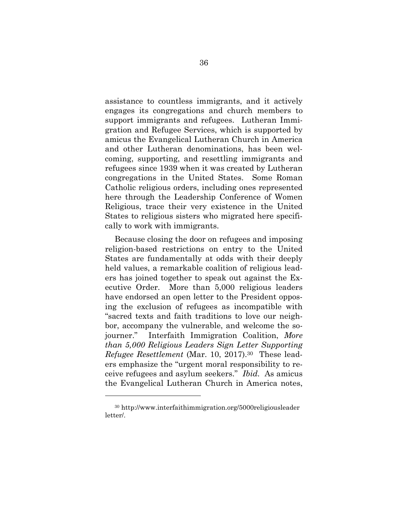assistance to countless immigrants, and it actively engages its congregations and church members to support immigrants and refugees. Lutheran Immigration and Refugee Services, which is supported by amicus the Evangelical Lutheran Church in America and other Lutheran denominations, has been welcoming, supporting, and resettling immigrants and refugees since 1939 when it was created by Lutheran congregations in the United States. Some Roman Catholic religious orders, including ones represented here through the Leadership Conference of Women Religious, trace their very existence in the United States to religious sisters who migrated here specifically to work with immigrants.

Because closing the door on refugees and imposing religion-based restrictions on entry to the United States are fundamentally at odds with their deeply held values, a remarkable coalition of religious leaders has joined together to speak out against the Executive Order. More than 5,000 religious leaders have endorsed an open letter to the President opposing the exclusion of refugees as incompatible with "sacred texts and faith traditions to love our neighbor, accompany the vulnerable, and welcome the sojourner." Interfaith Immigration Coalition, *More than 5,000 Religious Leaders Sign Letter Supporting Refugee Resettlement* (Mar. 10, 2017).30 These leaders emphasize the "urgent moral responsibility to receive refugees and asylum seekers." *Ibid.* As amicus the Evangelical Lutheran Church in America notes,

 $\overline{a}$ 

<sup>30</sup> http://www.interfaithimmigration.org/5000religiousleader letter/.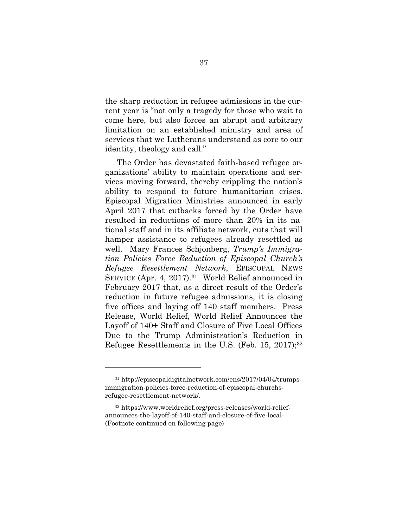the sharp reduction in refugee admissions in the current year is "not only a tragedy for those who wait to come here, but also forces an abrupt and arbitrary limitation on an established ministry and area of services that we Lutherans understand as core to our identity, theology and call."

The Order has devastated faith-based refugee organizations' ability to maintain operations and services moving forward, thereby crippling the nation's ability to respond to future humanitarian crises. Episcopal Migration Ministries announced in early April 2017 that cutbacks forced by the Order have resulted in reductions of more than 20% in its national staff and in its affiliate network, cuts that will hamper assistance to refugees already resettled as well. Mary Frances Schjonberg, *Trump's Immigration Policies Force Reduction of Episcopal Church's Refugee Resettlement Network*, EPISCOPAL NEWS SERVICE (Apr. 4, 2017).<sup>31</sup> World Relief announced in February 2017 that, as a direct result of the Order's reduction in future refugee admissions, it is closing five offices and laying off 140 staff members. Press Release, World Relief, World Relief Announces the Layoff of 140+ Staff and Closure of Five Local Offices Due to the Trump Administration's Reduction in Refugee Resettlements in the U.S. (Feb. 15, 2017);<sup>32</sup>

<sup>31</sup> http://episcopaldigitalnetwork.com/ens/2017/04/04/trumpsimmigration-policies-force-reduction-of-episcopal-churchsrefugee-resettlement-network/.

<sup>32</sup> https://www.worldrelief.org/press-releases/world-reliefannounces-the-layoff-of-140-staff-and-closure-of-five-local- (Footnote continued on following page)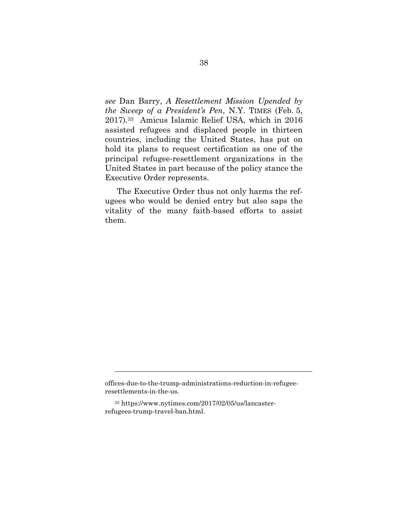*see* Dan Barry, *A Resettlement Mission Upended by the Sweep of a President's Pen*, N.Y. TIMES (Feb. 5, 2017).33 Amicus Islamic Relief USA, which in 2016 assisted refugees and displaced people in thirteen countries, including the United States, has put on hold its plans to request certification as one of the principal refugee-resettlement organizations in the United States in part because of the policy stance the Executive Order represents.

The Executive Order thus not only harms the refugees who would be denied entry but also saps the vitality of the many faith-based efforts to assist them.

1

offices-due-to-the-trump-administrations-reduction-in-refugeeresettlements-in-the-us.

<sup>33</sup> https://www.nytimes.com/2017/02/05/us/lancasterrefugees-trump-travel-ban.html.